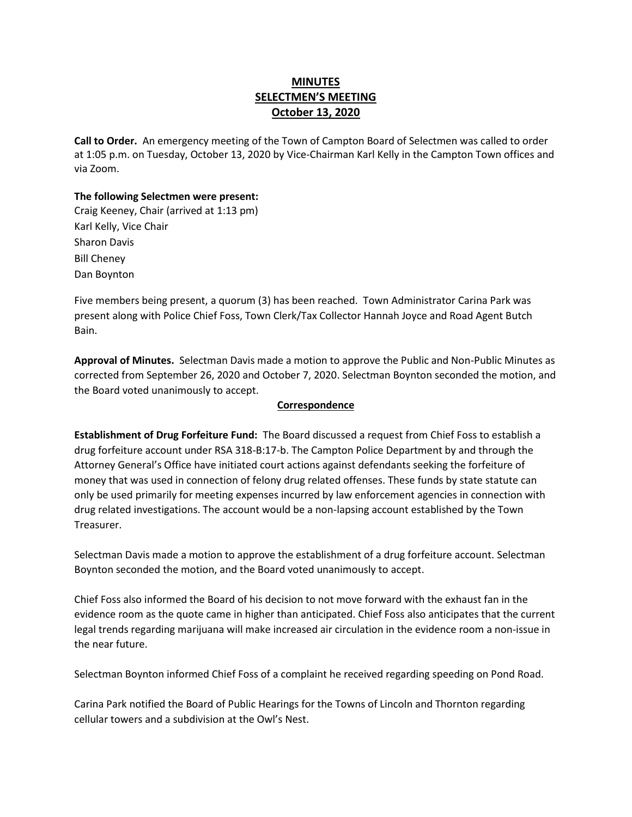# **MINUTES SELECTMEN'S MEETING October 13, 2020**

**Call to Order.** An emergency meeting of the Town of Campton Board of Selectmen was called to order at 1:05 p.m. on Tuesday, October 13, 2020 by Vice-Chairman Karl Kelly in the Campton Town offices and via Zoom.

## **The following Selectmen were present:**

Craig Keeney, Chair (arrived at 1:13 pm) Karl Kelly, Vice Chair Sharon Davis Bill Cheney Dan Boynton

Five members being present, a quorum (3) has been reached.Town Administrator Carina Park was present along with Police Chief Foss, Town Clerk/Tax Collector Hannah Joyce and Road Agent Butch Bain.

**Approval of Minutes.** Selectman Davis made a motion to approve the Public and Non-Public Minutes as corrected from September 26, 2020 and October 7, 2020. Selectman Boynton seconded the motion, and the Board voted unanimously to accept.

## **Correspondence**

**Establishment of Drug Forfeiture Fund:** The Board discussed a request from Chief Foss to establish a drug forfeiture account under RSA 318-B:17-b. The Campton Police Department by and through the Attorney General's Office have initiated court actions against defendants seeking the forfeiture of money that was used in connection of felony drug related offenses. These funds by state statute can only be used primarily for meeting expenses incurred by law enforcement agencies in connection with drug related investigations. The account would be a non-lapsing account established by the Town Treasurer.

Selectman Davis made a motion to approve the establishment of a drug forfeiture account. Selectman Boynton seconded the motion, and the Board voted unanimously to accept.

Chief Foss also informed the Board of his decision to not move forward with the exhaust fan in the evidence room as the quote came in higher than anticipated. Chief Foss also anticipates that the current legal trends regarding marijuana will make increased air circulation in the evidence room a non-issue in the near future.

Selectman Boynton informed Chief Foss of a complaint he received regarding speeding on Pond Road.

Carina Park notified the Board of Public Hearings for the Towns of Lincoln and Thornton regarding cellular towers and a subdivision at the Owl's Nest.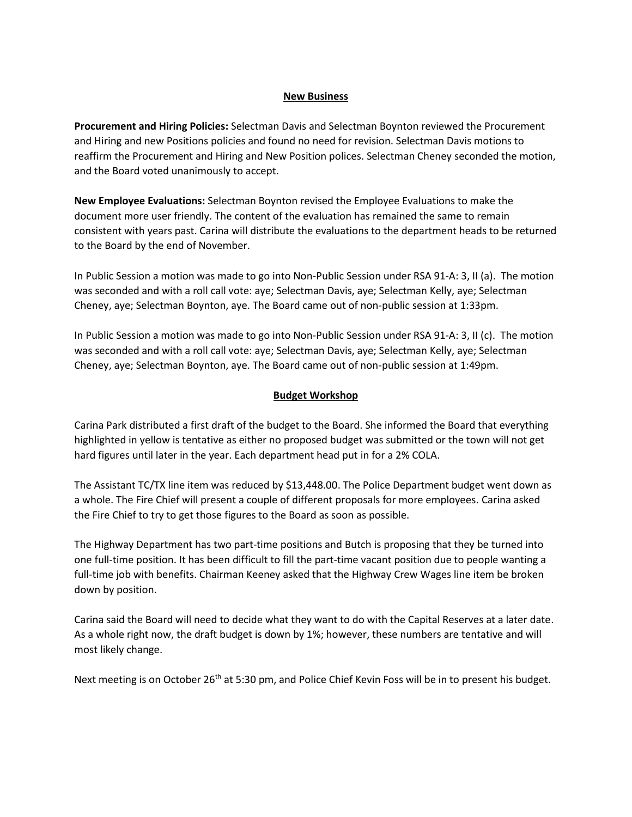## **New Business**

**Procurement and Hiring Policies:** Selectman Davis and Selectman Boynton reviewed the Procurement and Hiring and new Positions policies and found no need for revision. Selectman Davis motions to reaffirm the Procurement and Hiring and New Position polices. Selectman Cheney seconded the motion, and the Board voted unanimously to accept.

**New Employee Evaluations:** Selectman Boynton revised the Employee Evaluations to make the document more user friendly. The content of the evaluation has remained the same to remain consistent with years past. Carina will distribute the evaluations to the department heads to be returned to the Board by the end of November.

In Public Session a motion was made to go into Non-Public Session under RSA 91-A: 3, II (a). The motion was seconded and with a roll call vote: aye; Selectman Davis, aye; Selectman Kelly, aye; Selectman Cheney, aye; Selectman Boynton, aye. The Board came out of non-public session at 1:33pm.

In Public Session a motion was made to go into Non-Public Session under RSA 91-A: 3, II (c). The motion was seconded and with a roll call vote: aye; Selectman Davis, aye; Selectman Kelly, aye; Selectman Cheney, aye; Selectman Boynton, aye. The Board came out of non-public session at 1:49pm.

## **Budget Workshop**

Carina Park distributed a first draft of the budget to the Board. She informed the Board that everything highlighted in yellow is tentative as either no proposed budget was submitted or the town will not get hard figures until later in the year. Each department head put in for a 2% COLA.

The Assistant TC/TX line item was reduced by \$13,448.00. The Police Department budget went down as a whole. The Fire Chief will present a couple of different proposals for more employees. Carina asked the Fire Chief to try to get those figures to the Board as soon as possible.

The Highway Department has two part-time positions and Butch is proposing that they be turned into one full-time position. It has been difficult to fill the part-time vacant position due to people wanting a full-time job with benefits. Chairman Keeney asked that the Highway Crew Wages line item be broken down by position.

Carina said the Board will need to decide what they want to do with the Capital Reserves at a later date. As a whole right now, the draft budget is down by 1%; however, these numbers are tentative and will most likely change.

Next meeting is on October 26<sup>th</sup> at 5:30 pm, and Police Chief Kevin Foss will be in to present his budget.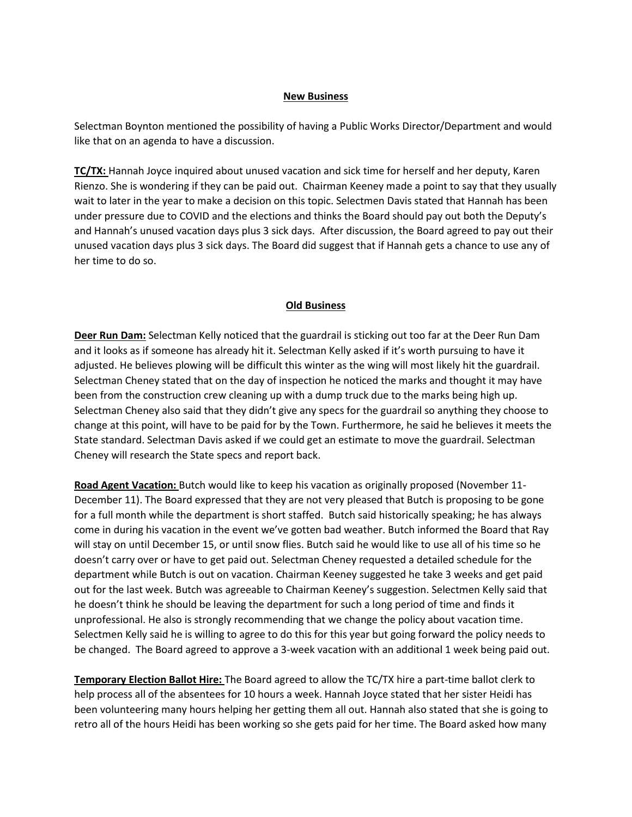## **New Business**

Selectman Boynton mentioned the possibility of having a Public Works Director/Department and would like that on an agenda to have a discussion.

**TC/TX:** Hannah Joyce inquired about unused vacation and sick time for herself and her deputy, Karen Rienzo. She is wondering if they can be paid out. Chairman Keeney made a point to say that they usually wait to later in the year to make a decision on this topic. Selectmen Davis stated that Hannah has been under pressure due to COVID and the elections and thinks the Board should pay out both the Deputy's and Hannah's unused vacation days plus 3 sick days. After discussion, the Board agreed to pay out their unused vacation days plus 3 sick days. The Board did suggest that if Hannah gets a chance to use any of her time to do so.

## **Old Business**

**Deer Run Dam:** Selectman Kelly noticed that the guardrail is sticking out too far at the Deer Run Dam and it looks as if someone has already hit it. Selectman Kelly asked if it's worth pursuing to have it adjusted. He believes plowing will be difficult this winter as the wing will most likely hit the guardrail. Selectman Cheney stated that on the day of inspection he noticed the marks and thought it may have been from the construction crew cleaning up with a dump truck due to the marks being high up. Selectman Cheney also said that they didn't give any specs for the guardrail so anything they choose to change at this point, will have to be paid for by the Town. Furthermore, he said he believes it meets the State standard. Selectman Davis asked if we could get an estimate to move the guardrail. Selectman Cheney will research the State specs and report back.

**Road Agent Vacation:** Butch would like to keep his vacation as originally proposed (November 11- December 11). The Board expressed that they are not very pleased that Butch is proposing to be gone for a full month while the department is short staffed. Butch said historically speaking; he has always come in during his vacation in the event we've gotten bad weather. Butch informed the Board that Ray will stay on until December 15, or until snow flies. Butch said he would like to use all of his time so he doesn't carry over or have to get paid out. Selectman Cheney requested a detailed schedule for the department while Butch is out on vacation. Chairman Keeney suggested he take 3 weeks and get paid out for the last week. Butch was agreeable to Chairman Keeney's suggestion. Selectmen Kelly said that he doesn't think he should be leaving the department for such a long period of time and finds it unprofessional. He also is strongly recommending that we change the policy about vacation time. Selectmen Kelly said he is willing to agree to do this for this year but going forward the policy needs to be changed. The Board agreed to approve a 3-week vacation with an additional 1 week being paid out.

**Temporary Election Ballot Hire:** The Board agreed to allow the TC/TX hire a part-time ballot clerk to help process all of the absentees for 10 hours a week. Hannah Joyce stated that her sister Heidi has been volunteering many hours helping her getting them all out. Hannah also stated that she is going to retro all of the hours Heidi has been working so she gets paid for her time. The Board asked how many